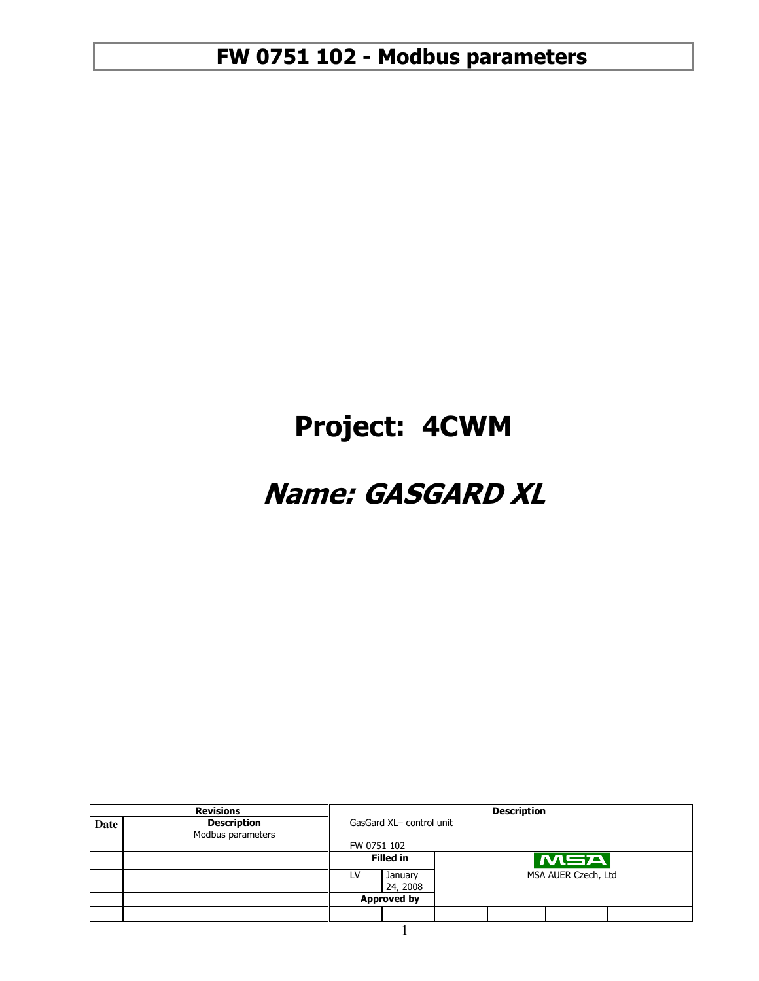# Project: 4CWM

# Name: GASGARD XL

|      | <b>Revisions</b>                        |                           |                    | <b>Description</b>  |
|------|-----------------------------------------|---------------------------|--------------------|---------------------|
| Date | <b>Description</b><br>Modbus parameters | GasGard XL- control unit  |                    |                     |
|      |                                         | FW 0751 102               |                    |                     |
|      |                                         |                           | <b>Filled in</b>   | MSA                 |
|      |                                         | January<br>LV<br>24, 2008 |                    | MSA AUER Czech, Ltd |
|      |                                         |                           | <b>Approved by</b> |                     |
|      |                                         |                           |                    |                     |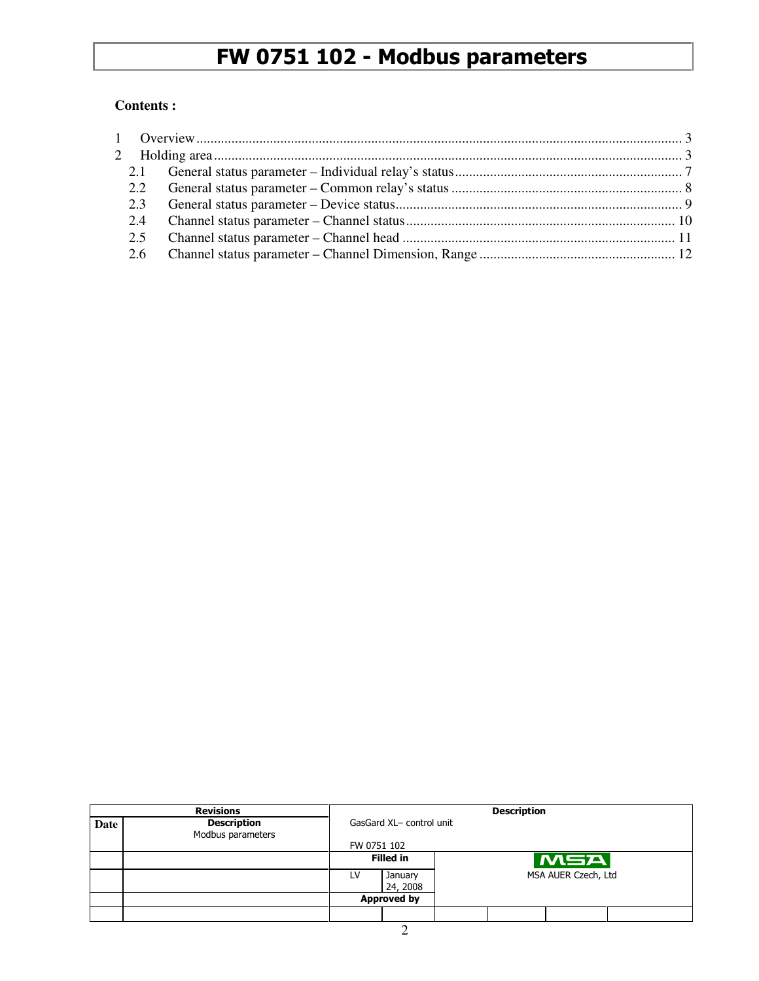#### **Contents :**

|      | <b>Revisions</b>                        |                          | <b>Description</b>  |                     |  |     |  |  |
|------|-----------------------------------------|--------------------------|---------------------|---------------------|--|-----|--|--|
| Date | <b>Description</b><br>Modbus parameters | GasGard XL- control unit |                     |                     |  |     |  |  |
|      |                                         |                          | FW 0751 102         |                     |  |     |  |  |
|      |                                         |                          | <b>Filled in</b>    |                     |  | MSA |  |  |
|      |                                         | LV                       | January<br>24, 2008 | MSA AUER Czech, Ltd |  |     |  |  |
|      |                                         |                          | <b>Approved by</b>  |                     |  |     |  |  |
|      |                                         |                          |                     |                     |  |     |  |  |
|      |                                         |                          |                     |                     |  |     |  |  |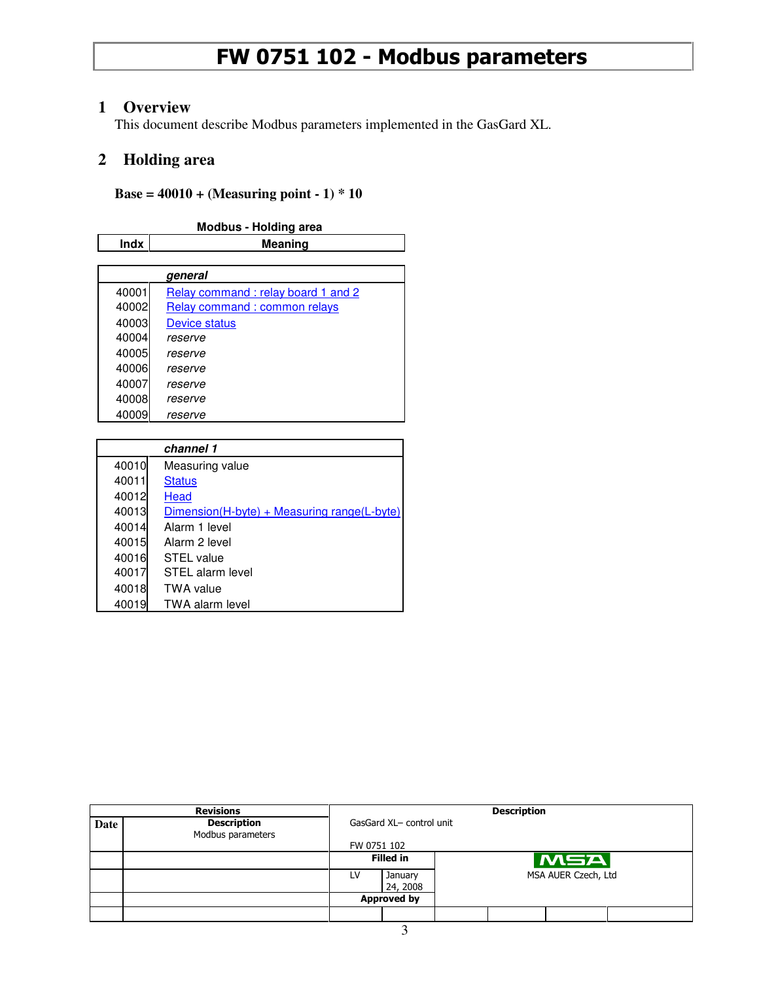#### **1 Overview**

This document describe Modbus parameters implemented in the GasGard XL.

#### **2 Holding area**

#### **Base = 40010 + (Measuring point - 1) \* 10**

|             | <b>Modbus - Holding area</b>       |  |  |  |  |  |
|-------------|------------------------------------|--|--|--|--|--|
| <b>Indx</b> | <b>Meaning</b>                     |  |  |  |  |  |
|             |                                    |  |  |  |  |  |
|             | general                            |  |  |  |  |  |
| 40001       | Relay command: relay board 1 and 2 |  |  |  |  |  |
| 40002       | Relay command: common relays       |  |  |  |  |  |
| 40003       | <b>Device status</b>               |  |  |  |  |  |
| 40004       | reserve                            |  |  |  |  |  |
| 40005       | reserve                            |  |  |  |  |  |
| 40006       | reserve                            |  |  |  |  |  |
| 40007       | reserve                            |  |  |  |  |  |
| 40008       | reserve                            |  |  |  |  |  |
| 40009       | reserve                            |  |  |  |  |  |

|       | channel 1                                   |
|-------|---------------------------------------------|
| 40010 | Measuring value                             |
| 40011 | <b>Status</b>                               |
| 40012 | Head                                        |
| 40013 | Dimension(H-byte) + Measuring range(L-byte) |
| 40014 | Alarm 1 level                               |
| 40015 | Alarm 2 level                               |
| 40016 | STEL value                                  |
| 40017 | STEL alarm level                            |
| 40018 | <b>TWA value</b>                            |
| 40019 | <b>TWA alarm level</b>                      |

|                                                  | <b>Revisions</b>                        |                          | <b>Description</b> |  |  |     |  |  |
|--------------------------------------------------|-----------------------------------------|--------------------------|--------------------|--|--|-----|--|--|
| Date                                             | <b>Description</b><br>Modbus parameters | GasGard XL- control unit |                    |  |  |     |  |  |
|                                                  |                                         |                          | FW 0751 102        |  |  |     |  |  |
|                                                  |                                         |                          | <b>Filled in</b>   |  |  | MSA |  |  |
| MSA AUER Czech, Ltd<br>LV<br>January<br>24, 2008 |                                         |                          |                    |  |  |     |  |  |
|                                                  |                                         |                          | <b>Approved by</b> |  |  |     |  |  |
|                                                  |                                         |                          |                    |  |  |     |  |  |
|                                                  |                                         |                          |                    |  |  |     |  |  |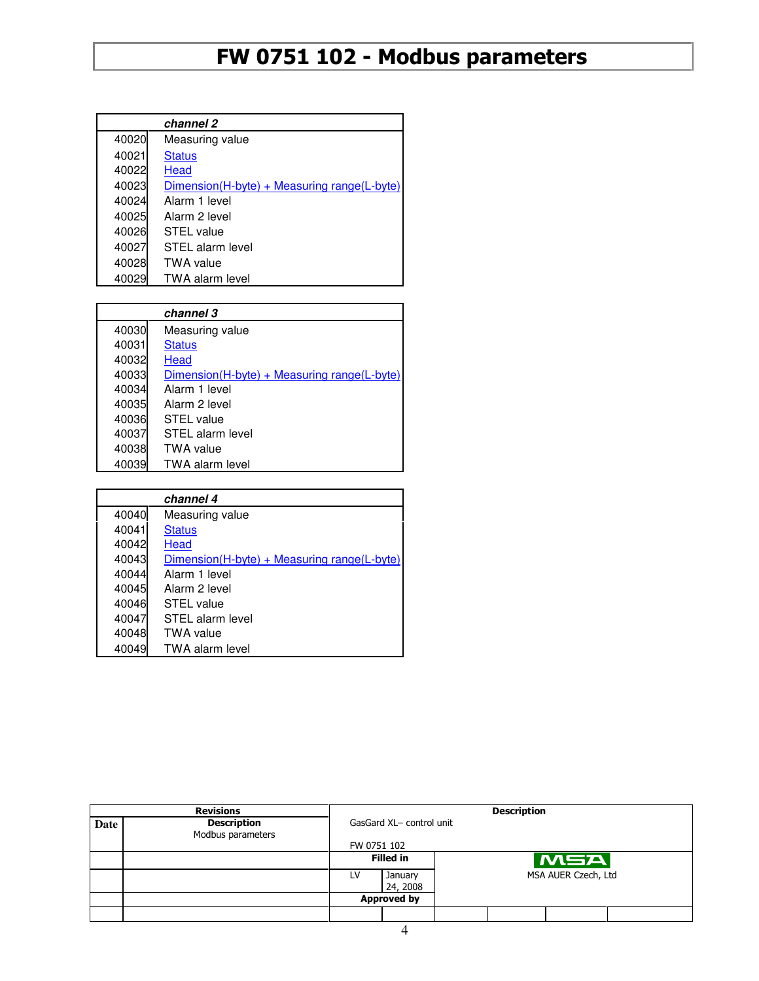|       | channel 2                                   |
|-------|---------------------------------------------|
| 40020 | Measuring value                             |
| 40021 | <b>Status</b>                               |
| 40022 | Head                                        |
| 40023 | Dimension(H-byte) + Measuring range(L-byte) |
| 40024 | Alarm 1 level                               |
| 40025 | Alarm 2 level                               |
| 40026 | STEL value                                  |
| 40027 | STEL alarm level                            |
| 40028 | <b>TWA value</b>                            |
| 40029 | <b>TWA alarm level</b>                      |

|       | channel 3                                   |
|-------|---------------------------------------------|
| 40030 | Measuring value                             |
| 40031 | <b>Status</b>                               |
| 40032 | Head                                        |
| 40033 | Dimension(H-byte) + Measuring range(L-byte) |
| 40034 | Alarm 1 level                               |
| 40035 | Alarm 2 level                               |
| 40036 | STEL value                                  |
| 40037 | STEL alarm level                            |
| 40038 | <b>TWA value</b>                            |
| 40039 | <b>TWA alarm level</b>                      |

|       | channel 4                                     |
|-------|-----------------------------------------------|
| 40040 | Measuring value                               |
| 40041 | <b>Status</b>                                 |
| 40042 | Head                                          |
| 40043 | $Dimension(H-bvte) + Measuring range(L-bvte)$ |
| 40044 | Alarm 1 level                                 |
| 40045 | Alarm 2 level                                 |
| 40046 | STEL value                                    |
| 40047 | STEL alarm level                              |
| 40048 | <b>TWA value</b>                              |
| 40049 | <b>TWA alarm level</b>                        |

|      | <b>Revisions</b>                        |                          |                     |                     | <b>Description</b> |     |  |  |
|------|-----------------------------------------|--------------------------|---------------------|---------------------|--------------------|-----|--|--|
| Date | <b>Description</b><br>Modbus parameters | GasGard XL- control unit |                     |                     |                    |     |  |  |
|      |                                         |                          | FW 0751 102         |                     |                    |     |  |  |
|      |                                         |                          | <b>Filled in</b>    |                     |                    | MSA |  |  |
|      |                                         | LV                       | January<br>24, 2008 | MSA AUER Czech, Ltd |                    |     |  |  |
|      |                                         |                          | <b>Approved by</b>  |                     |                    |     |  |  |
|      |                                         |                          |                     |                     |                    |     |  |  |
|      |                                         |                          |                     |                     |                    |     |  |  |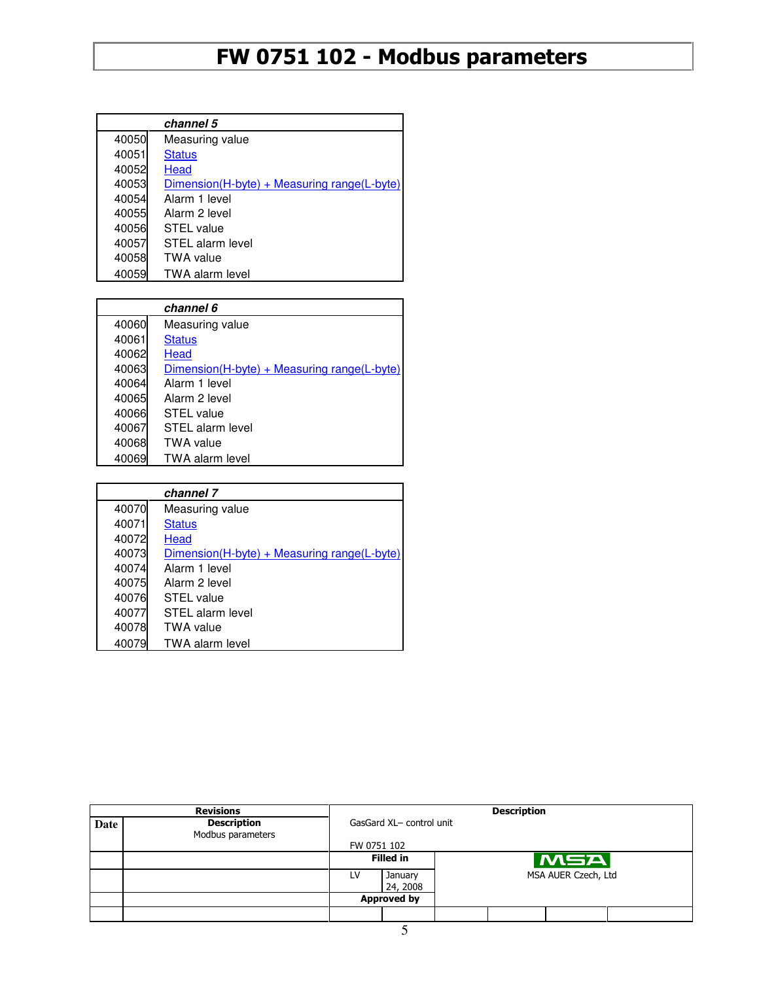|       | channel 5                                   |
|-------|---------------------------------------------|
| 40050 | Measuring value                             |
| 40051 | <b>Status</b>                               |
| 40052 | Head                                        |
| 40053 | Dimension(H-byte) + Measuring range(L-byte) |
| 40054 | Alarm 1 level                               |
| 40055 | Alarm 2 level                               |
| 40056 | <b>STEL</b> value                           |
| 40057 | STEL alarm level                            |
| 40058 | <b>TWA</b> value                            |
| 40059 | <b>TWA alarm level</b>                      |

|       | channel 6                                     |
|-------|-----------------------------------------------|
| 40060 | Measuring value                               |
| 40061 | <b>Status</b>                                 |
| 40062 | Head                                          |
| 40063 | $Dimension(H-byte) + Measuring range(L-byte)$ |
| 40064 | Alarm 1 level                                 |
| 40065 | Alarm 2 level                                 |
| 40066 | <b>STEL</b> value                             |
| 40067 | STEL alarm level                              |
| 40068 | <b>TWA</b> value                              |
| 40069 | <b>TWA alarm level</b>                        |

|       | channel 7                                   |
|-------|---------------------------------------------|
| 40070 | Measuring value                             |
| 40071 | <b>Status</b>                               |
| 40072 | Head                                        |
| 40073 | Dimension(H-byte) + Measuring range(L-byte) |
| 40074 | Alarm 1 level                               |
| 40075 | Alarm 2 level                               |
| 40076 | <b>STEL</b> value                           |
| 40077 | STEL alarm level                            |
| 40078 | <b>TWA value</b>                            |
| 40079 | <b>TWA alarm level</b>                      |

|      | <b>Revisions</b>                        |                    | <b>Description</b>       |  |                     |     |  |  |
|------|-----------------------------------------|--------------------|--------------------------|--|---------------------|-----|--|--|
| Date | <b>Description</b><br>Modbus parameters |                    | GasGard XL- control unit |  |                     |     |  |  |
|      |                                         |                    | FW 0751 102              |  |                     |     |  |  |
|      |                                         |                    | <b>Filled in</b>         |  |                     | MSA |  |  |
|      |                                         | LV                 | January<br>24, 2008      |  | MSA AUER Czech, Ltd |     |  |  |
|      |                                         | <b>Approved by</b> |                          |  |                     |     |  |  |
|      |                                         |                    |                          |  |                     |     |  |  |
|      |                                         |                    |                          |  |                     |     |  |  |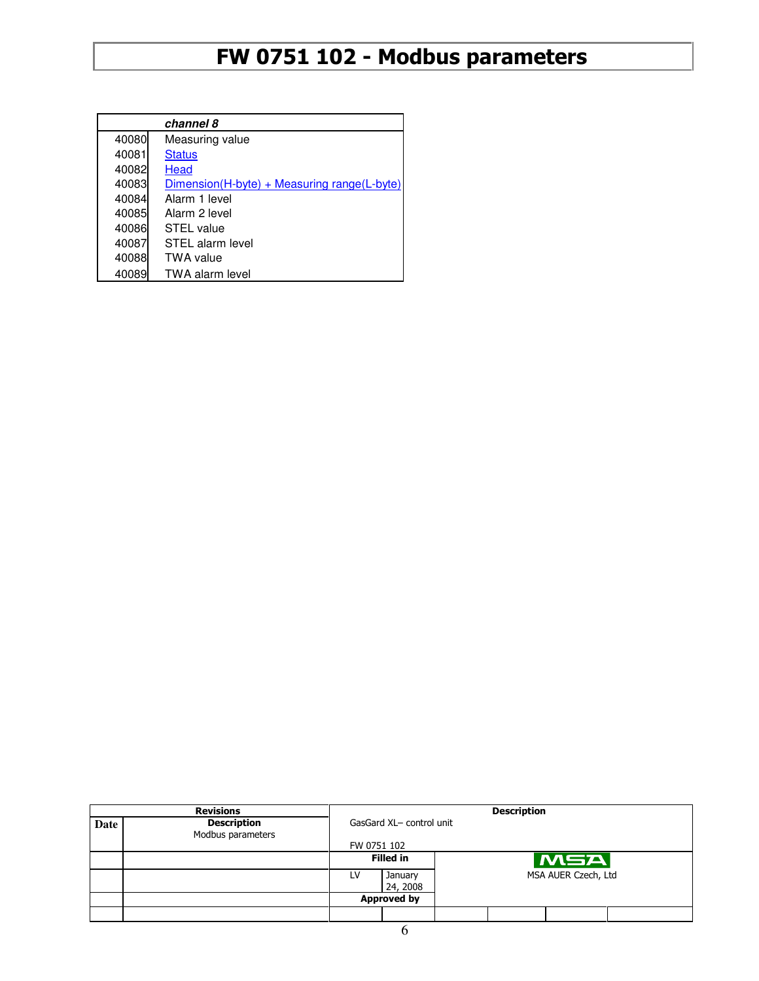|       | channel 8                                     |
|-------|-----------------------------------------------|
| 40080 | Measuring value                               |
| 40081 | <b>Status</b>                                 |
| 40082 | Head                                          |
| 40083 | $Dimension(H-bvte) + Measuring range(L-bvte)$ |
| 40084 | Alarm 1 level                                 |
| 40085 | Alarm 2 level                                 |
| 40086 | STEL value                                    |
| 40087 | STEL alarm level                              |
| 40088 | TWA value                                     |
| 40089 | <b>TWA alarm level</b>                        |

|      | <b>Revisions</b>                        |                    | <b>Description</b>       |                     |  |                  |  |  |  |
|------|-----------------------------------------|--------------------|--------------------------|---------------------|--|------------------|--|--|--|
| Date | <b>Description</b><br>Modbus parameters |                    | GasGard XL- control unit |                     |  |                  |  |  |  |
|      |                                         |                    | FW 0751 102              |                     |  |                  |  |  |  |
|      |                                         |                    | <b>Filled in</b>         |                     |  | $ \mathbf{MSA} $ |  |  |  |
|      |                                         | LV                 | January<br>24, 2008      | MSA AUER Czech, Ltd |  |                  |  |  |  |
|      |                                         | <b>Approved by</b> |                          |                     |  |                  |  |  |  |
|      |                                         |                    |                          |                     |  |                  |  |  |  |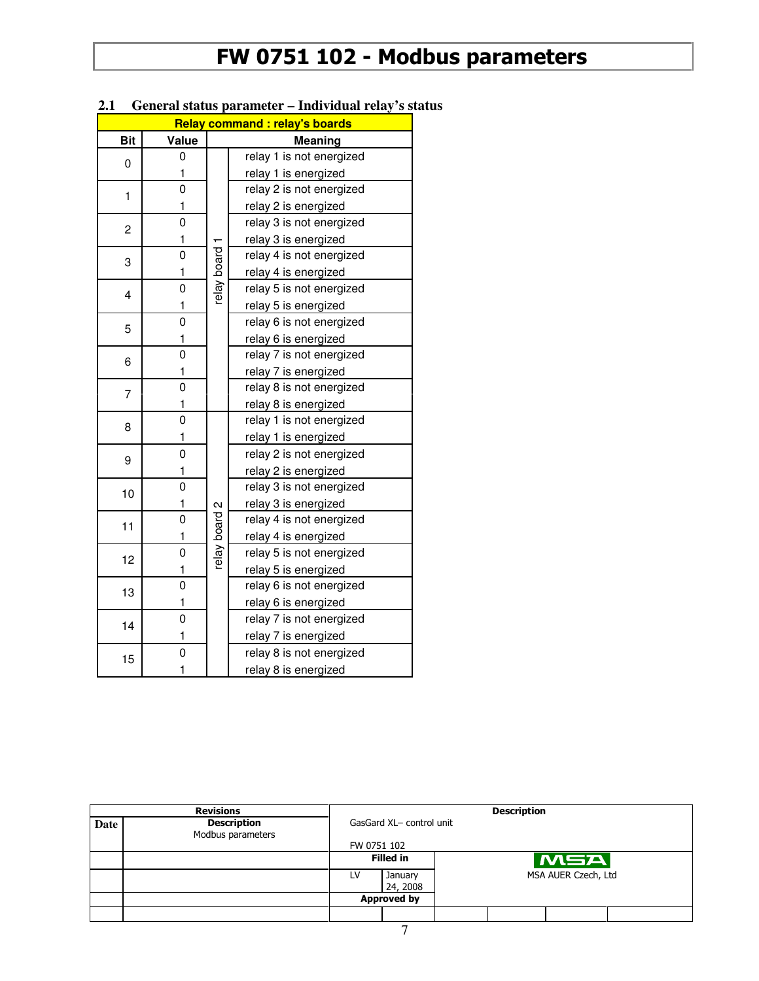| <b>Relay command : relay's boards</b> |                |               |                          |  |  |  |  |
|---------------------------------------|----------------|---------------|--------------------------|--|--|--|--|
| <b>Bit</b>                            | Value          |               | Meaning                  |  |  |  |  |
| 0                                     | 0              |               | relay 1 is not energized |  |  |  |  |
|                                       | 1              |               | relay 1 is energized     |  |  |  |  |
| 1                                     | 0              |               | relay 2 is not energized |  |  |  |  |
|                                       | 1              |               | relay 2 is energized     |  |  |  |  |
| 2                                     | $\overline{0}$ |               | relay 3 is not energized |  |  |  |  |
|                                       | 1              |               | relay 3 is energized     |  |  |  |  |
| 3                                     | 0              |               | relay 4 is not energized |  |  |  |  |
|                                       | 1              |               | relay 4 is energized     |  |  |  |  |
| 4                                     | 0              | elay board    | relay 5 is not energized |  |  |  |  |
|                                       | 1              |               | relay 5 is energized     |  |  |  |  |
| 5                                     | 0              |               | relay 6 is not energized |  |  |  |  |
|                                       | 1              |               | relay 6 is energized     |  |  |  |  |
| 6                                     | 0              |               | relay 7 is not energized |  |  |  |  |
|                                       | 1              |               | relay 7 is energized     |  |  |  |  |
| 7                                     | $\overline{0}$ |               | relay 8 is not energized |  |  |  |  |
|                                       | 1              |               | relay 8 is energized     |  |  |  |  |
| 8                                     | 0              |               | relay 1 is not energized |  |  |  |  |
|                                       | 1              |               | relay 1 is energized     |  |  |  |  |
| 9                                     | 0              |               | relay 2 is not energized |  |  |  |  |
|                                       | 1              |               | relay 2 is energized     |  |  |  |  |
| 10                                    | 0              |               | relay 3 is not energized |  |  |  |  |
|                                       | 1              |               | relay 3 is energized     |  |  |  |  |
| 11                                    | 0              | relay board 2 | relay 4 is not energized |  |  |  |  |
|                                       | 1              |               | relay 4 is energized     |  |  |  |  |
| 12                                    | 0              |               | relay 5 is not energized |  |  |  |  |
|                                       | 1              |               | relay 5 is energized     |  |  |  |  |
| 13                                    | 0              |               | relay 6 is not energized |  |  |  |  |
|                                       | 1              |               | relay 6 is energized     |  |  |  |  |
| 14                                    | 0              |               | relay 7 is not energized |  |  |  |  |
|                                       | 1              |               | relay 7 is energized     |  |  |  |  |
| 15                                    | 0              |               | relay 8 is not energized |  |  |  |  |
|                                       | 1              |               | relay 8 is energized     |  |  |  |  |

#### **2.1 General status parameter – Individual relay's status**

|      | <b>Revisions</b>                        | <b>Description</b>       |                     |  |                     |     |  |  |
|------|-----------------------------------------|--------------------------|---------------------|--|---------------------|-----|--|--|
| Date | <b>Description</b><br>Modbus parameters | GasGard XL- control unit |                     |  |                     |     |  |  |
|      |                                         | FW 0751 102              |                     |  |                     |     |  |  |
|      |                                         |                          | <b>Filled in</b>    |  |                     | MSA |  |  |
|      |                                         | LV                       | January<br>24, 2008 |  | MSA AUER Czech, Ltd |     |  |  |
|      |                                         | <b>Approved by</b>       |                     |  |                     |     |  |  |
|      |                                         |                          |                     |  |                     |     |  |  |
|      |                                         |                          |                     |  |                     |     |  |  |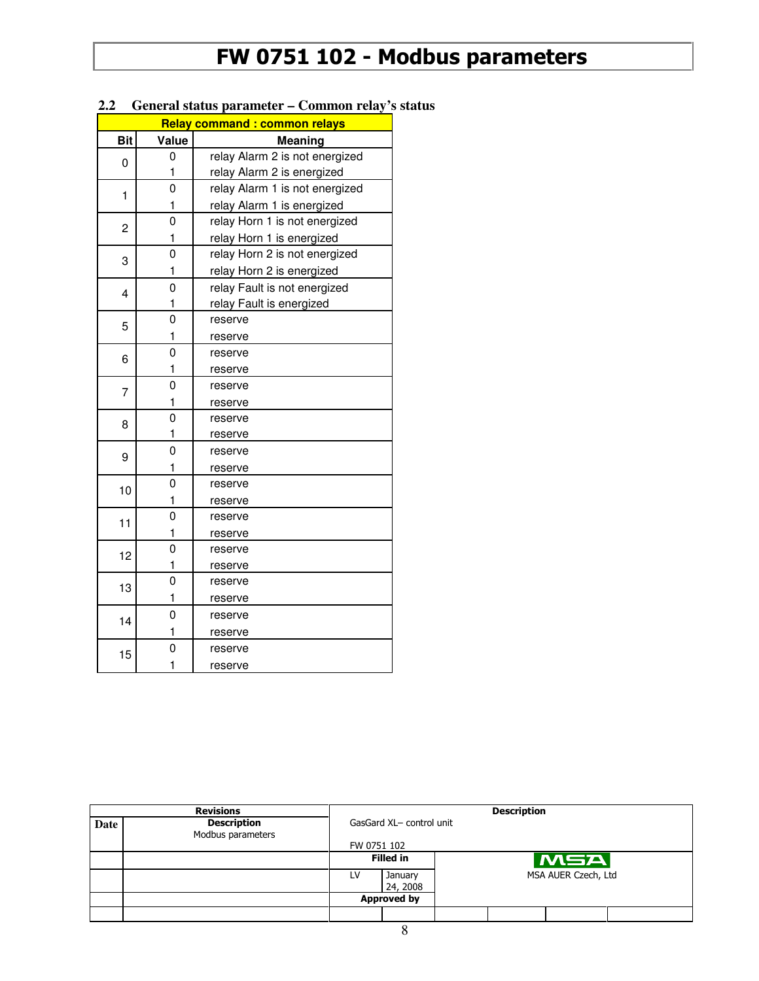|            |                | <b>Relay command: common relays</b> |
|------------|----------------|-------------------------------------|
| <b>Bit</b> | Value          | Meaning                             |
| 0          | 0              | relay Alarm 2 is not energized      |
|            | 1              | relay Alarm 2 is energized          |
| 1          | $\overline{0}$ | relay Alarm 1 is not energized      |
|            | 1              | relay Alarm 1 is energized          |
| 2          | 0              | relay Horn 1 is not energized       |
|            | 1              | relay Horn 1 is energized           |
| 3          | 0              | relay Horn 2 is not energized       |
|            | 1              | relay Horn 2 is energized           |
| 4          | 0              | relay Fault is not energized        |
|            | 1              | relay Fault is energized            |
| 5          | 0              | reserve                             |
|            | 1              | reserve                             |
| 6          | $\overline{0}$ | reserve                             |
|            | 1              | reserve                             |
| 7          | $\overline{0}$ | reserve                             |
|            | 1              | reserve                             |
| 8          | $\overline{0}$ | reserve                             |
|            | 1              | reserve                             |
| 9          | 0              | reserve                             |
|            | 1              | reserve                             |
| 10         | $\overline{0}$ | reserve                             |
|            | 1              | reserve                             |
| 11         | $\mathbf 0$    | reserve                             |
|            | 1              | reserve                             |
| 12         | $\overline{0}$ | reserve                             |
|            | 1              | reserve                             |
| 13         | 0              | reserve                             |
|            | 1              | reserve                             |
| 14         | 0              | reserve                             |
|            | 1              | reserve                             |
| 15         | 0              | reserve                             |
|            | 1              | reserve                             |

#### **2.2 General status parameter – Common relay's status**

|      | <b>Revisions</b>                        | <b>Description</b>       |                     |                     |  |     |  |  |
|------|-----------------------------------------|--------------------------|---------------------|---------------------|--|-----|--|--|
| Date | <b>Description</b><br>Modbus parameters | GasGard XL- control unit |                     |                     |  |     |  |  |
|      |                                         | FW 0751 102              |                     |                     |  |     |  |  |
|      |                                         |                          | <b>Filled in</b>    |                     |  | MSA |  |  |
|      |                                         | LV                       | January<br>24, 2008 | MSA AUER Czech, Ltd |  |     |  |  |
|      |                                         | <b>Approved by</b>       |                     |                     |  |     |  |  |
|      |                                         |                          |                     |                     |  |     |  |  |
|      | Ω                                       |                          |                     |                     |  |     |  |  |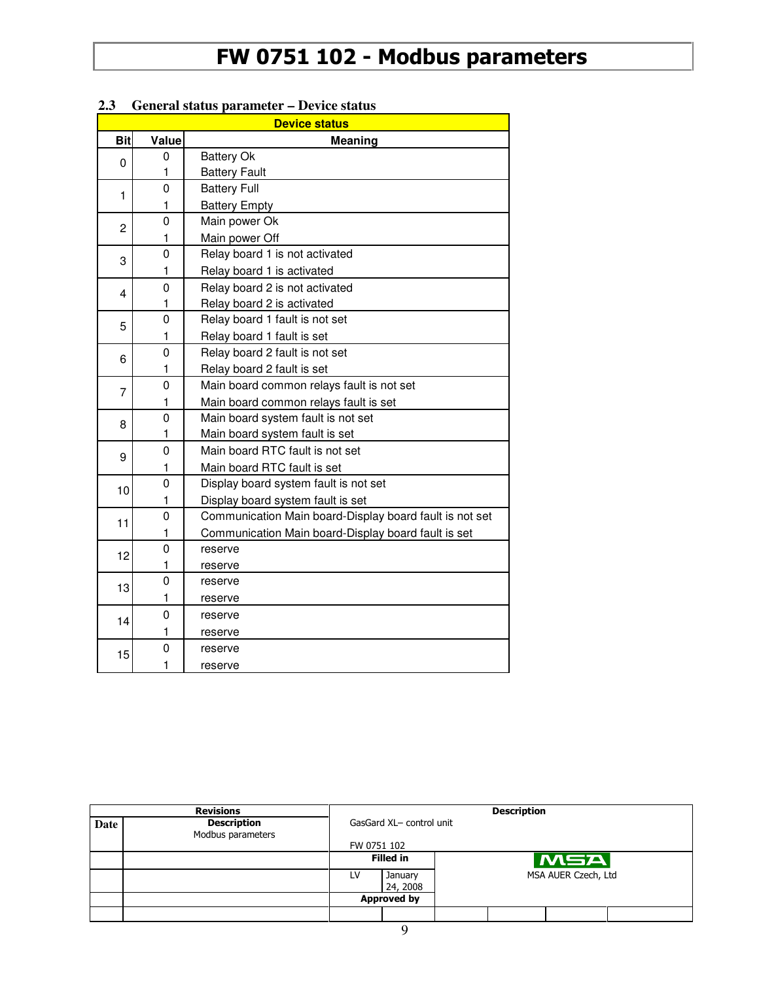|                |             | <b>Device status</b>                                    |
|----------------|-------------|---------------------------------------------------------|
| <b>Bit</b>     | Value       | <b>Meaning</b>                                          |
| 0              | 0           | <b>Battery Ok</b>                                       |
|                | 1           | <b>Battery Fault</b>                                    |
| 1              | 0           | <b>Battery Full</b>                                     |
|                | 1           | <b>Battery Empty</b>                                    |
| $\overline{2}$ | $\mathbf 0$ | Main power Ok                                           |
|                | 1           | Main power Off                                          |
| 3              | 0           | Relay board 1 is not activated                          |
|                | 1           | Relay board 1 is activated                              |
| 4              | 0           | Relay board 2 is not activated                          |
|                | 1           | Relay board 2 is activated                              |
| 5              | 0           | Relay board 1 fault is not set                          |
|                | 1           | Relay board 1 fault is set                              |
| 6              | 0           | Relay board 2 fault is not set                          |
|                | 1           | Relay board 2 fault is set                              |
| $\overline{7}$ | 0           | Main board common relays fault is not set               |
|                | 1           | Main board common relays fault is set                   |
| 8              | 0           | Main board system fault is not set                      |
|                | 1           | Main board system fault is set                          |
| 9              | $\mathbf 0$ | Main board RTC fault is not set                         |
|                | 1           | Main board RTC fault is set                             |
| 10             | 0           | Display board system fault is not set                   |
|                | 1           | Display board system fault is set                       |
| 11             | 0           | Communication Main board-Display board fault is not set |
|                | 1           | Communication Main board-Display board fault is set     |
| 12             | 0           | reserve                                                 |
|                | 1           | reserve                                                 |
| 13             | $\mathbf 0$ | reserve                                                 |
|                | 1           | reserve                                                 |
| 14             | 0           | reserve                                                 |
|                | 1           | reserve                                                 |
| 15             | 0           | reserve                                                 |
|                | 1           | reserve                                                 |

#### **2.3 General status parameter – Device status**

|      | <b>Revisions</b>                        | <b>Description</b>       |                     |                     |  |     |  |  |
|------|-----------------------------------------|--------------------------|---------------------|---------------------|--|-----|--|--|
| Date | <b>Description</b><br>Modbus parameters | GasGard XL- control unit |                     |                     |  |     |  |  |
|      |                                         | FW 0751 102              |                     |                     |  |     |  |  |
|      |                                         |                          | <b>Filled in</b>    |                     |  | MSA |  |  |
|      |                                         | LV                       | January<br>24, 2008 | MSA AUER Czech, Ltd |  |     |  |  |
|      |                                         | <b>Approved by</b>       |                     |                     |  |     |  |  |
|      |                                         |                          |                     |                     |  |     |  |  |
|      |                                         |                          |                     |                     |  |     |  |  |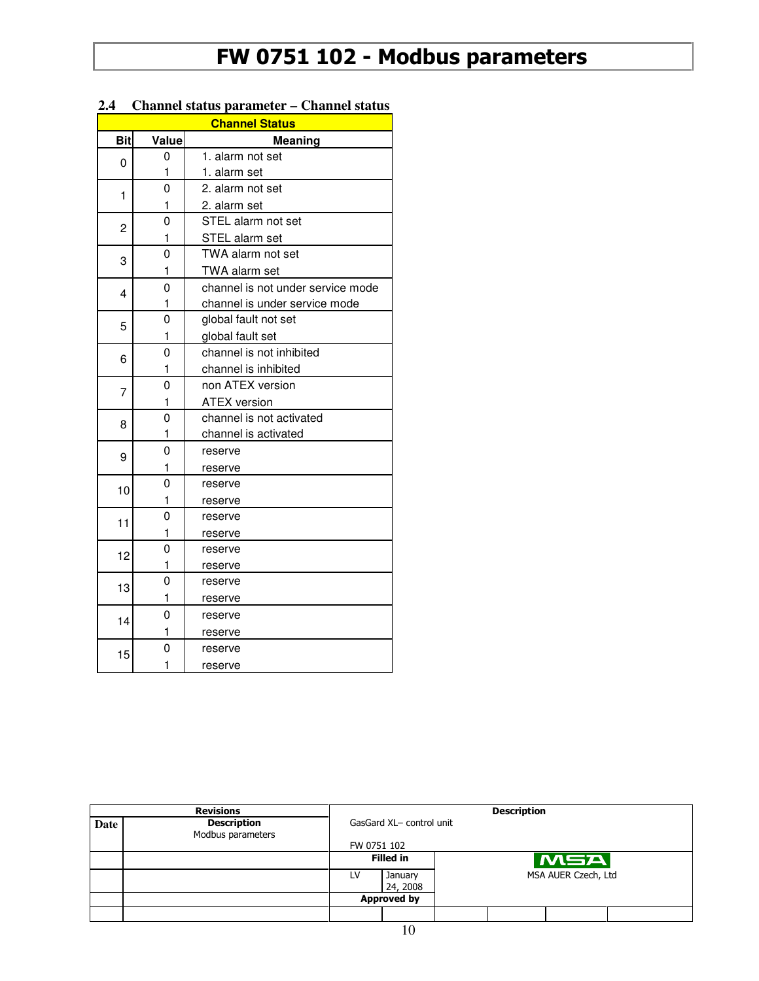| <b>Bit</b><br>Value<br><b>Meaning</b><br>1. alarm not set<br>0<br>0<br>1<br>1. alarm set<br>0<br>2. alarm not set<br>1<br>1<br>2. alarm set<br>0<br>STEL alarm not set<br>2<br>1<br>STEL alarm set<br>TWA alarm not set<br>0<br>3<br>1<br>TWA alarm set<br>channel is not under service mode<br>0<br>4<br>channel is under service mode<br>1<br>0<br>global fault not set<br>5<br>1<br>global fault set<br>0<br>channel is not inhibited<br>6<br>channel is inhibited<br>1<br>$\overline{0}$<br>non ATEX version<br>$\overline{7}$<br>1<br><b>ATEX version</b><br>channel is not activated<br>0<br>8<br>1<br>channel is activated<br>0<br>reserve<br>9<br>1<br>reserve<br>0<br>reserve<br>10<br>1<br>reserve<br>0<br>reserve<br>11<br>1<br>reserve<br>0<br>reserve<br>12<br>1<br>reserve<br>0<br>reserve<br>13<br>1<br>reserve<br>0<br>reserve<br>14<br>1<br>reserve<br>0<br>reserve<br>15<br>1<br>reserve |  | <b>Channel Status</b> |
|------------------------------------------------------------------------------------------------------------------------------------------------------------------------------------------------------------------------------------------------------------------------------------------------------------------------------------------------------------------------------------------------------------------------------------------------------------------------------------------------------------------------------------------------------------------------------------------------------------------------------------------------------------------------------------------------------------------------------------------------------------------------------------------------------------------------------------------------------------------------------------------------------------|--|-----------------------|
|                                                                                                                                                                                                                                                                                                                                                                                                                                                                                                                                                                                                                                                                                                                                                                                                                                                                                                            |  |                       |
|                                                                                                                                                                                                                                                                                                                                                                                                                                                                                                                                                                                                                                                                                                                                                                                                                                                                                                            |  |                       |
|                                                                                                                                                                                                                                                                                                                                                                                                                                                                                                                                                                                                                                                                                                                                                                                                                                                                                                            |  |                       |
|                                                                                                                                                                                                                                                                                                                                                                                                                                                                                                                                                                                                                                                                                                                                                                                                                                                                                                            |  |                       |
|                                                                                                                                                                                                                                                                                                                                                                                                                                                                                                                                                                                                                                                                                                                                                                                                                                                                                                            |  |                       |
|                                                                                                                                                                                                                                                                                                                                                                                                                                                                                                                                                                                                                                                                                                                                                                                                                                                                                                            |  |                       |
|                                                                                                                                                                                                                                                                                                                                                                                                                                                                                                                                                                                                                                                                                                                                                                                                                                                                                                            |  |                       |
|                                                                                                                                                                                                                                                                                                                                                                                                                                                                                                                                                                                                                                                                                                                                                                                                                                                                                                            |  |                       |
|                                                                                                                                                                                                                                                                                                                                                                                                                                                                                                                                                                                                                                                                                                                                                                                                                                                                                                            |  |                       |
|                                                                                                                                                                                                                                                                                                                                                                                                                                                                                                                                                                                                                                                                                                                                                                                                                                                                                                            |  |                       |
|                                                                                                                                                                                                                                                                                                                                                                                                                                                                                                                                                                                                                                                                                                                                                                                                                                                                                                            |  |                       |
|                                                                                                                                                                                                                                                                                                                                                                                                                                                                                                                                                                                                                                                                                                                                                                                                                                                                                                            |  |                       |
|                                                                                                                                                                                                                                                                                                                                                                                                                                                                                                                                                                                                                                                                                                                                                                                                                                                                                                            |  |                       |
|                                                                                                                                                                                                                                                                                                                                                                                                                                                                                                                                                                                                                                                                                                                                                                                                                                                                                                            |  |                       |
|                                                                                                                                                                                                                                                                                                                                                                                                                                                                                                                                                                                                                                                                                                                                                                                                                                                                                                            |  |                       |
|                                                                                                                                                                                                                                                                                                                                                                                                                                                                                                                                                                                                                                                                                                                                                                                                                                                                                                            |  |                       |
|                                                                                                                                                                                                                                                                                                                                                                                                                                                                                                                                                                                                                                                                                                                                                                                                                                                                                                            |  |                       |
|                                                                                                                                                                                                                                                                                                                                                                                                                                                                                                                                                                                                                                                                                                                                                                                                                                                                                                            |  |                       |
|                                                                                                                                                                                                                                                                                                                                                                                                                                                                                                                                                                                                                                                                                                                                                                                                                                                                                                            |  |                       |
|                                                                                                                                                                                                                                                                                                                                                                                                                                                                                                                                                                                                                                                                                                                                                                                                                                                                                                            |  |                       |
|                                                                                                                                                                                                                                                                                                                                                                                                                                                                                                                                                                                                                                                                                                                                                                                                                                                                                                            |  |                       |
|                                                                                                                                                                                                                                                                                                                                                                                                                                                                                                                                                                                                                                                                                                                                                                                                                                                                                                            |  |                       |
|                                                                                                                                                                                                                                                                                                                                                                                                                                                                                                                                                                                                                                                                                                                                                                                                                                                                                                            |  |                       |
|                                                                                                                                                                                                                                                                                                                                                                                                                                                                                                                                                                                                                                                                                                                                                                                                                                                                                                            |  |                       |
|                                                                                                                                                                                                                                                                                                                                                                                                                                                                                                                                                                                                                                                                                                                                                                                                                                                                                                            |  |                       |
|                                                                                                                                                                                                                                                                                                                                                                                                                                                                                                                                                                                                                                                                                                                                                                                                                                                                                                            |  |                       |
|                                                                                                                                                                                                                                                                                                                                                                                                                                                                                                                                                                                                                                                                                                                                                                                                                                                                                                            |  |                       |
|                                                                                                                                                                                                                                                                                                                                                                                                                                                                                                                                                                                                                                                                                                                                                                                                                                                                                                            |  |                       |
|                                                                                                                                                                                                                                                                                                                                                                                                                                                                                                                                                                                                                                                                                                                                                                                                                                                                                                            |  |                       |
|                                                                                                                                                                                                                                                                                                                                                                                                                                                                                                                                                                                                                                                                                                                                                                                                                                                                                                            |  |                       |
|                                                                                                                                                                                                                                                                                                                                                                                                                                                                                                                                                                                                                                                                                                                                                                                                                                                                                                            |  |                       |
|                                                                                                                                                                                                                                                                                                                                                                                                                                                                                                                                                                                                                                                                                                                                                                                                                                                                                                            |  |                       |
|                                                                                                                                                                                                                                                                                                                                                                                                                                                                                                                                                                                                                                                                                                                                                                                                                                                                                                            |  |                       |

#### **2.4 Channel status parameter – Channel status**

|      | <b>Revisions</b>                        | <b>Description</b>       |                     |  |                     |     |  |  |
|------|-----------------------------------------|--------------------------|---------------------|--|---------------------|-----|--|--|
| Date | <b>Description</b><br>Modbus parameters | GasGard XL- control unit |                     |  |                     |     |  |  |
|      |                                         | FW 0751 102              |                     |  |                     |     |  |  |
|      |                                         |                          | <b>Filled in</b>    |  |                     | MSA |  |  |
|      |                                         | LV                       | January<br>24, 2008 |  | MSA AUER Czech, Ltd |     |  |  |
|      |                                         |                          | <b>Approved by</b>  |  |                     |     |  |  |
|      |                                         |                          |                     |  |                     |     |  |  |
|      |                                         |                          | 10                  |  |                     |     |  |  |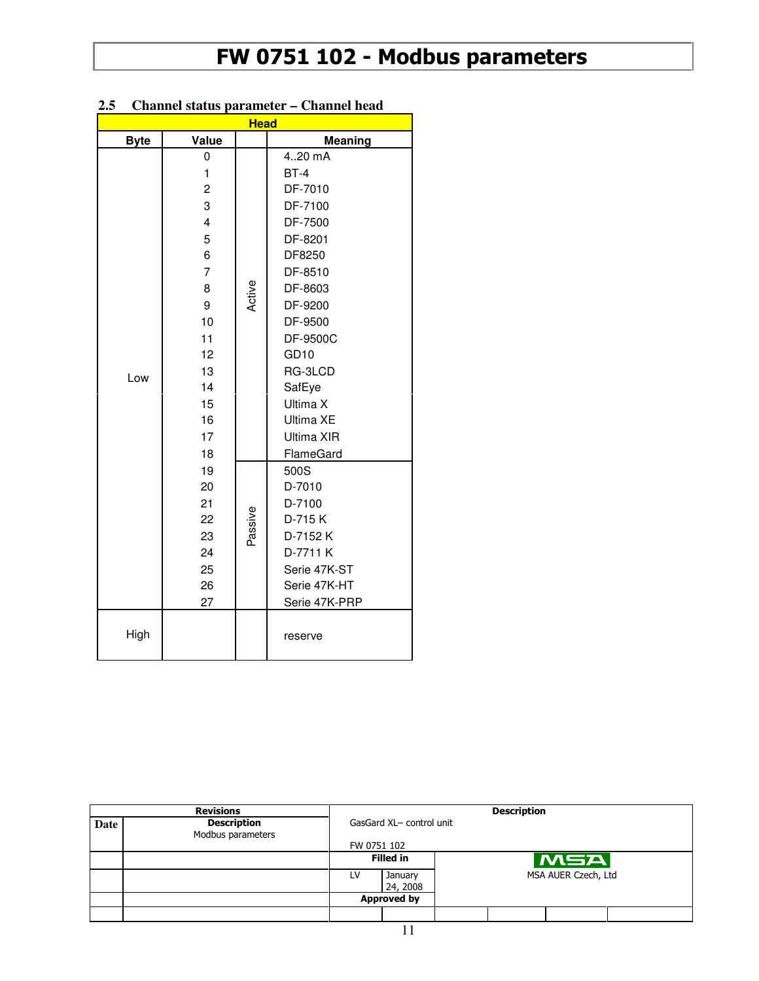| <b>Head</b> |                                                                                                                                                       |         |                                                                                                                                                                                                                                    |  |  |  |
|-------------|-------------------------------------------------------------------------------------------------------------------------------------------------------|---------|------------------------------------------------------------------------------------------------------------------------------------------------------------------------------------------------------------------------------------|--|--|--|
| <b>Byte</b> | Value                                                                                                                                                 |         | <b>Meaning</b>                                                                                                                                                                                                                     |  |  |  |
| Low         | $\mathbf 0$<br>1<br>$\overline{c}$<br>3<br>$\overline{4}$<br>5<br>6<br>$\overline{7}$<br>8<br>9<br>10<br>11<br>12<br>13<br>14<br>15<br>16<br>17<br>18 | Active  | 420 mA<br>$BT-4$<br>DF-7010<br>DF-7100<br>DF-7500<br>DF-8201<br>DF8250<br>DF-8510<br>DF-8603<br>DF-9200<br>DF-9500<br>DF-9500C<br>GD <sub>10</sub><br>RG-3LCD<br>SafEye<br>Ultima X<br>Ultima XE<br><b>Ultima XIR</b><br>FlameGard |  |  |  |
|             | 19<br>20<br>21<br>22<br>23<br>24<br>25<br>26<br>27                                                                                                    | Passive | 500S<br>D-7010<br>D-7100<br>D-715K<br>D-7152 K<br>D-7711 K<br>Serie 47K-ST<br>Serie 47K-HT<br>Serie 47K-PRP                                                                                                                        |  |  |  |
| High        |                                                                                                                                                       |         | reserve                                                                                                                                                                                                                            |  |  |  |

#### **2.5 Channel status parameter – Channel head**

|      | <b>Revisions</b>                        | <b>Description</b>       |                     |  |                     |     |  |
|------|-----------------------------------------|--------------------------|---------------------|--|---------------------|-----|--|
| Date | <b>Description</b><br>Modbus parameters | GasGard XL- control unit |                     |  |                     |     |  |
|      |                                         | FW 0751 102              |                     |  |                     |     |  |
|      |                                         | <b>Filled in</b>         |                     |  |                     | MSA |  |
|      |                                         | LV                       | January<br>24, 2008 |  | MSA AUER Czech, Ltd |     |  |
|      |                                         | <b>Approved by</b>       |                     |  |                     |     |  |
|      |                                         |                          |                     |  |                     |     |  |
|      |                                         |                          |                     |  |                     |     |  |